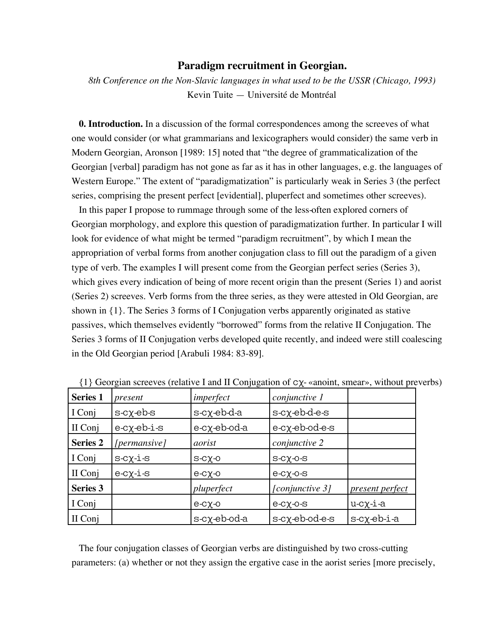## **Paradigm recruitment in Georgian.**

*8th Conference on the Non-Slavic languages in what used to be the USSR (Chicago, 1993)* Kevin Tuite — Université de Montréal

**0. Introduction.** In a discussion of the formal correspondences among the screeves of what one would consider (or what grammarians and lexicographers would consider) the same verb in Modern Georgian, Aronson [1989: 15] noted that "the degree of grammaticalization of the Georgian [verbal] paradigm has not gone as far as it has in other languages, e.g. the languages of Western Europe." The extent of "paradigmatization" is particularly weak in Series 3 (the perfect series, comprising the present perfect [evidential], pluperfect and sometimes other screeves).

In this paper I propose to rummage through some of the less-often explored corners of Georgian morphology, and explore this question of paradigmatization further. In particular I will look for evidence of what might be termed "paradigm recruitment", by which I mean the appropriation of verbal forms from another conjugation class to fill out the paradigm of a given type of verb. The examples I will present come from the Georgian perfect series (Series 3), which gives every indication of being of more recent origin than the present (Series 1) and aorist (Series 2) screeves. Verb forms from the three series, as they were attested in Old Georgian, are shown in {1}. The Series 3 forms of I Conjugation verbs apparently originated as stative passives, which themselves evidently "borrowed" forms from the relative II Conjugation. The Series 3 forms of II Conjugation verbs developed quite recently, and indeed were still coalescing in the Old Georgian period [Arabuli 1984: 83-89].

| <b>Series 1</b> | present                      | imperfect                        | conjunctive 1          |                    |
|-----------------|------------------------------|----------------------------------|------------------------|--------------------|
| I Conj          | $s-c\chi$ -eb- $s$           | $s$ - $c\chi$ - $eb$ - $d$ - $a$ | $s-c\chi$ -eb-d-e- $s$ |                    |
| II Conj         | $e$ -c $\chi$ - $eb$ -i- $s$ | $e$ -c $\chi$ -eb-od-a           | e-cχ-eb-od-e-s         |                    |
| <b>Series 2</b> | [permansive]                 | aorist                           | conjunctive 2          |                    |
| I Conj          | $s-c\chi-i-s$                | $S-CX-0$                         | $S-CX-O-S$             |                    |
| II Conj         | $e-c\chi$ -i- $s$            | $e-c\chi$ -0                     | $e-c\chi$ -o- $s$      |                    |
| <b>Series 3</b> |                              | pluperfect                       | [conjunctive 3]        | present perfect    |
| I Conj          |                              | $e-c\chi$ -o                     | $e-c\chi$ -0- $s$      | $u$ -c $\chi$ -i-a |
| II Conj         |                              | $s$ -c $\chi$ -eb-od-a           | s-cχ-eb-od-e-s         | $s-c\chi$ -eb-i-a  |

 $\{1\}$  Georgian screeves (relative I and II Conjugation of  $cy$ - «anoint, smear», without preverbs)

The four conjugation classes of Georgian verbs are distinguished by two cross-cutting parameters: (a) whether or not they assign the ergative case in the aorist series [more precisely,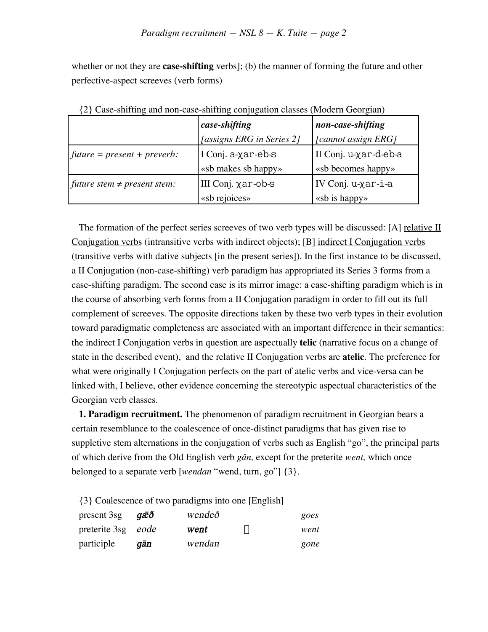whether or not they are **case-shifting** verbs]; (b) the manner of forming the future and other perfective-aspect screeves (verb forms)

| $\circ$                          | J <sub>o</sub>            |                       |
|----------------------------------|---------------------------|-----------------------|
|                                  | case-shifting             | non-case-shifting     |
|                                  | [assigns ERG in Series 2] | [cannot assign ERG]   |
| $fulture = present + prevent$ :  | I Conj. a-χar-eb-s        | II Conj. u-χar-d-eb-a |
|                                  | «sb makes sb happy»       | «sb becomes happy»    |
| future stem $\neq$ present stem: | III Conj. χar-ob-s        | IV Conj. u-χar-i-a    |
|                                  | «sb rejoices»             | «sb is happy»         |

{2} Case-shifting and non-case-shifting conjugation classes (Modern Georgian)

The formation of the perfect series screeves of two verb types will be discussed: [A] relative II Conjugation verbs (intransitive verbs with indirect objects); [B] indirect I Conjugation verbs (transitive verbs with dative subjects [in the present series]). In the first instance to be discussed, a II Conjugation (non-case-shifting) verb paradigm has appropriated its Series 3 forms from a case-shifting paradigm. The second case is its mirror image: a case-shifting paradigm which is in the course of absorbing verb forms from a II Conjugation paradigm in order to fill out its full complement of screeves. The opposite directions taken by these two verb types in their evolution toward paradigmatic completeness are associated with an important difference in their semantics: the indirect I Conjugation verbs in question are aspectually **telic** (narrative focus on a change of state in the described event), and the relative II Conjugation verbs are **atelic**. The preference for what were originally I Conjugation perfects on the part of atelic verbs and vice-versa can be linked with, I believe, other evidence concerning the stereotypic aspectual characteristics of the Georgian verb classes.

**1. Paradigm recruitment.** The phenomenon of paradigm recruitment in Georgian bears a certain resemblance to the coalescence of once-distinct paradigms that has given rise to suppletive stem alternations in the conjugation of verbs such as English "go", the principal parts of which derive from the Old English verb *gân,* except for the preterite *went,* which once belonged to a separate verb [*wendan* "wend, turn, go"] {3}.

{3} Coalescence of two paradigms into one [English]

| present 3sg $g\bar{a}\bar{b}\bar{d}$ |     | wendeð |               | goes |
|--------------------------------------|-----|--------|---------------|------|
| preterite 3sg eode                   |     | went   | $\Rightarrow$ | went |
| participle                           | gān | wendan |               | gone |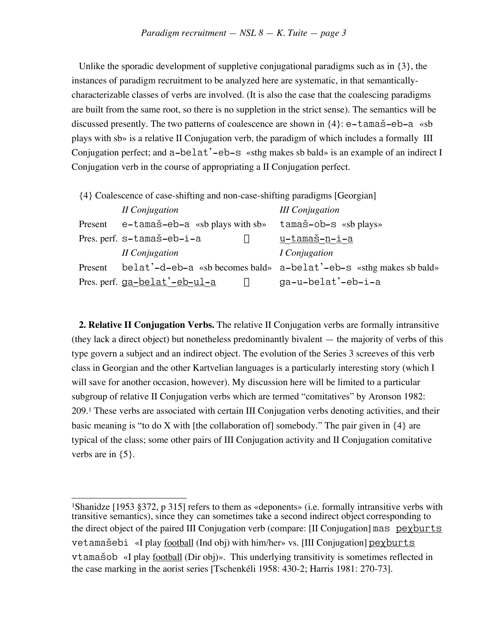Unlike the sporadic development of suppletive conjugational paradigms such as in {3}, the instances of paradigm recruitment to be analyzed here are systematic, in that semanticallycharacterizable classes of verbs are involved. (It is also the case that the coalescing paradigms are built from the same root, so there is no suppletion in the strict sense). The semantics will be discussed presently. The two patterns of coalescence are shown in  $\{4\}$ : e-tamas-eb-a «sb plays with sb» is a relative II Conjugation verb, the paradigm of which includes a formally III Conjugation perfect; and a-belat'-eb-s «sthg makes sb bald» is an example of an indirect I Conjugation verb in the course of appropriating a II Conjugation perfect.

{4} Coalescence of case-shifting and non-case-shifting paradigms [Georgian]

|         | II Conjugation                     |               | <b>III</b> Conjugation                                             |
|---------|------------------------------------|---------------|--------------------------------------------------------------------|
| Present | $e$ -tamaš-eb-a «sb plays with sb» |               | tamaš-ob-s «sb plays»                                              |
|         | Pres. perf. s-tamaš-eb-i-a         | $\Leftarrow$  | <u>u-tamaš-n-i-a</u>                                               |
|         | II Conjugation                     |               | <i>I</i> Conjugation                                               |
| Present |                                    |               | belat'-d-eb-a «sb becomes bald» a-belat'-eb-s «sthg makes sb bald» |
|         | Pres. perf. ga-belat'-eb-ul-a      | $\Rightarrow$ | ga-u-belat'-eb-i-a                                                 |

**2. Relative II Conjugation Verbs.** The relative II Conjugation verbs are formally intransitive (they lack a direct object) but nonetheless predominantly bivalent — the majority of verbs of this type govern a subject and an indirect object. The evolution of the Series 3 screeves of this verb class in Georgian and the other Kartvelian languages is a particularly interesting story (which I will save for another occasion, however). My discussion here will be limited to a particular subgroup of relative II Conjugation verbs which are termed "comitatives" by Aronson 1982: 209.1 These verbs are associated with certain III Conjugation verbs denoting activities, and their basic meaning is "to do X with [the collaboration of] somebody." The pair given in  $\{4\}$  are typical of the class; some other pairs of III Conjugation activity and II Conjugation comitative verbs are in {5}.

 $\overline{a}$ 1Shanidze [1953 §372, p 315] refers to them as «deponents» (i.e. formally intransitive verbs with transitive semantics), since they can sometimes take a second indirect object corresponding to the direct object of the paired III Conjugation verb (compare:  $[II]$  Conjugation  $]$  mas pex burts  $veta$  and  $\leq$   $\leq$   $\leq$   $\leq$   $\leq$   $\leq$   $\leq$   $\leq$   $\leq$   $\leq$   $\leq$   $\leq$   $\leq$   $\leq$   $\leq$   $\leq$   $\leq$   $\leq$   $\leq$   $\leq$   $\leq$   $\leq$   $\leq$   $\leq$   $\leq$   $\leq$   $\leq$   $\leq$   $\leq$   $\leq$   $\leq$   $\leq$   $\leq$   $\leq$   $\leq$   $\$ vtamašob «I play football (Dir obj)». This underlying transitivity is sometimes reflected in the case marking in the aorist series [Tschenkéli 1958: 430-2; Harris 1981: 270-73].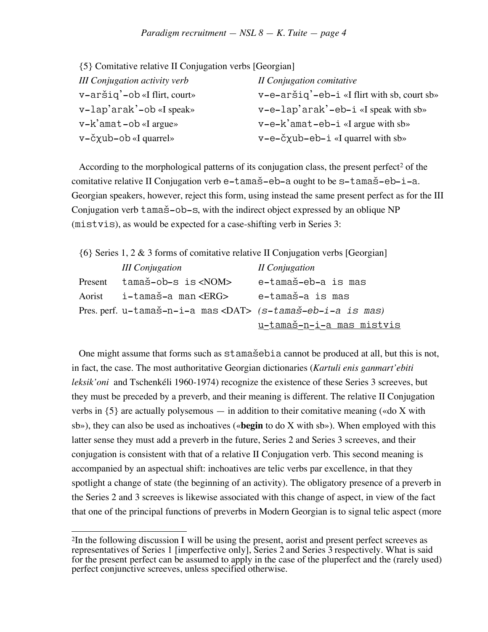{5} Comitative relative II Conjugation verbs [Georgian]

| <b>III Conjugation activity verb</b>    | II Conjugation comitative                      |
|-----------------------------------------|------------------------------------------------|
| $v-$ aršiq' $-$ ob «I flirt, court»     | $v$ -e-aršiq'-eb-i «I flirt with sb, court sb» |
| v-lap'arak'-ob «I speak»                | $v-e-lap'arak'-eb-i \ll speak$ with sb»        |
| $v - k'$ amat $-\text{ob} \ll l$ argue» | $v-e-k'$ amat-eb-i «I argue with sb»           |
| $v-\text{c} \chi$ ub-ob «I quarrel»     | $v-e-\check{c}$ xub-eb-i «I quarrel with sb»   |

According to the morphological patterns of its conjugation class, the present perfect<sup>2</sup> of the comitative relative II Conjugation verb  $e$ -tamas- $e$ b-a ought to be  $s$ -tamas- $e$ b-i-a. Georgian speakers, however, reject this form, using instead the same present perfect as for the III Conjugation verb  $t$  ama $\check{s}$ -ob-s, with the indirect object expressed by an oblique NP (mistvis), as would be expected for a case-shifting verb in Series 3:

| $\{6\}$ Series 1, 2 & 3 forms of comitative relative II Conjugation verbs [Georgian] |                                                                   |                           |  |
|--------------------------------------------------------------------------------------|-------------------------------------------------------------------|---------------------------|--|
|                                                                                      | <b>III</b> Conjugation                                            | II Conjugation            |  |
| Present                                                                              | tamaš-ob-s is <nom></nom>                                         | e-tamaš-eb-a is mas       |  |
| Aorist                                                                               | i-tamaš-a man <erg></erg>                                         | e-tamaš-a is mas          |  |
|                                                                                      | Pres. perf. u-tamaš-n-i-a mas <dat> (s-tamaš-eb-i-a is mas)</dat> |                           |  |
|                                                                                      |                                                                   | u-tamaš-n-i-a mas mistvis |  |

One might assume that forms such as  $stama\ddot{s}ebia$  cannot be produced at all, but this is not, in fact, the case. The most authoritative Georgian dictionaries (*Kartuli enis ganmart'ebiti leksik'oni* and Tschenkéli 1960-1974) recognize the existence of these Series 3 screeves, but they must be preceded by a preverb, and their meaning is different. The relative II Conjugation verbs in  $\{5\}$  are actually polysemous — in addition to their comitative meaning («do X with sb»), they can also be used as inchoatives («**begin** to do X with sb»). When employed with this latter sense they must add a preverb in the future, Series 2 and Series 3 screeves, and their conjugation is consistent with that of a relative II Conjugation verb. This second meaning is accompanied by an aspectual shift: inchoatives are telic verbs par excellence, in that they spotlight a change of state (the beginning of an activity). The obligatory presence of a preverb in the Series 2 and 3 screeves is likewise associated with this change of aspect, in view of the fact that one of the principal functions of preverbs in Modern Georgian is to signal telic aspect (more

 $\overline{a}$ 2In the following discussion I will be using the present, aorist and present perfect screeves as representatives of Series 1 [imperfective only], Series 2 and Series 3 respectively. What is said for the present perfect can be assumed to apply in the case of the pluperfect and the (rarely used) perfect conjunctive screeves, unless specified otherwise.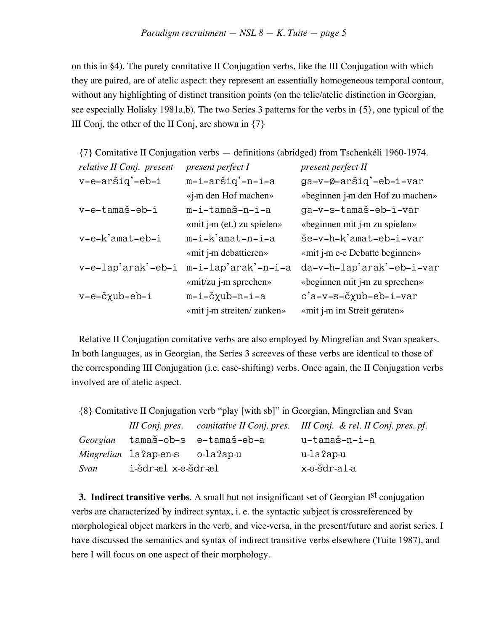on this in §4). The purely comitative II Conjugation verbs, like the III Conjugation with which they are paired, are of atelic aspect: they represent an essentially homogeneous temporal contour, without any highlighting of distinct transition points (on the telic/atelic distinction in Georgian, see especially Holisky 1981a,b). The two Series 3 patterns for the verbs in {5}, one typical of the III Conj, the other of the II Conj, are shown in  $\{7\}$ 

| {7} Comitative II Conjugation verbs — definitions (abridged) from Tschenkéli 1960-1974. |                            |                                  |  |
|-----------------------------------------------------------------------------------------|----------------------------|----------------------------------|--|
| relative II Conj. present                                                               | present perfect I          | present perfect II               |  |
| v-e-aršiq'-eb-i                                                                         | m-i-aršiq'-n-i-a           | ga-v-Ø-aršiq'-eb-i-var           |  |
|                                                                                         | «j-m den Hof machen»       | «beginnen j-m den Hof zu machen» |  |
| v-e-tamaš-eb-i                                                                          | m-i-tamaš-n-i-a            | ga-v-s-tamaš-eb-i-var            |  |
|                                                                                         | «mit j-m (et.) zu spielen» | «beginnen mit j-m zu spielen»    |  |
| $v-e-k'$ amat-eb-i                                                                      | $m-i-k'$ amat-n-i-a        | še-v-h-k'amat-eb-i-var           |  |
|                                                                                         | «mit j-m debattieren»      | «mit j-m e-e Debatte beginnen»   |  |
| v-e-lap'arak'-eb-i                                                                      | m-i-lap'arak'-n-i-a        | da-v-h-lap'arak'-eb-i-var        |  |
|                                                                                         | «mit/zu j-m sprechen»      | «beginnen mit j-m zu sprechen»   |  |
| v-e-čχub-eb-i                                                                           | m-i-čxub-n-i-a             | c'a-v-s-čxub-eb-i-var            |  |
|                                                                                         | «mit j-m streiten/ zanken» | «mit j-m im Streit geraten»      |  |

Relative II Conjugation comitative verbs are also employed by Mingrelian and Svan speakers. In both languages, as in Georgian, the Series 3 screeves of these verbs are identical to those of the corresponding III Conjugation (i.e. case-shifting) verbs. Once again, the II Conjugation verbs involved are of atelic aspect.

{8} Comitative II Conjugation verb "play [with sb]" in Georgian, Mingrelian and Svan

|      |                                 |                                  | III Conj. pres. comitative II Conj. pres. III Conj. & rel. II Conj. pres. pf. |
|------|---------------------------------|----------------------------------|-------------------------------------------------------------------------------|
|      |                                 | Georgian tamaš-ob-s e-tamaš-eb-a | u-tamaš-n-i-a                                                                 |
|      | Mingrelian la?ap-en-s o-la?ap-u |                                  | u-la?ap-u                                                                     |
| Svan | i-šdr-æl x-e-šdr-æl             |                                  | x-o-šdr-al-a                                                                  |

**3. Indirect transitive verbs.** A small but not insignificant set of Georgian Ist conjugation verbs are characterized by indirect syntax, i. e. the syntactic subject is crossreferenced by morphological object markers in the verb, and vice-versa, in the present/future and aorist series. I have discussed the semantics and syntax of indirect transitive verbs elsewhere (Tuite 1987), and here I will focus on one aspect of their morphology.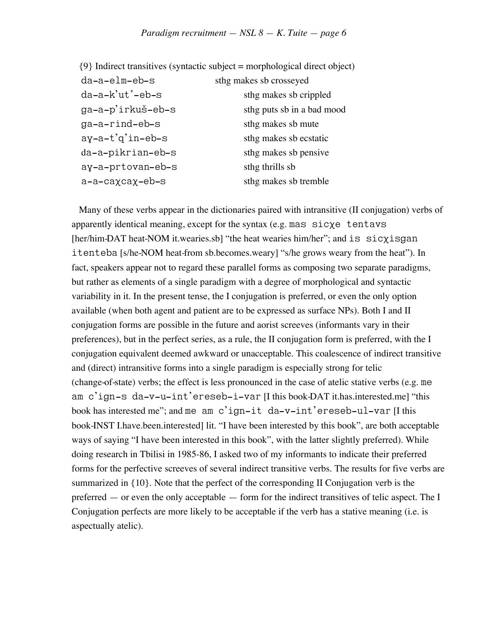|                   | $\{9\}$ Indirect transitives (syntactic subject = morphological direct object) |
|-------------------|--------------------------------------------------------------------------------|
| da-a-elm-eb-s     | sthg makes sb crosseyed                                                        |
| $da-a-k'ut'-eb-s$ | sthg makes sb crippled                                                         |
| ga-a-p'irkuš-eb-s | sthg puts sb in a bad mood                                                     |
| ga-a-rind-eb-s    | sthg makes sb mute                                                             |
| ay-a-t'g'in-eb-s  | sthg makes sb ecstatic                                                         |
| da-a-pikrian-eb-s | sthg makes sb pensive                                                          |
| ay-a-prtovan-eb-s | sthg thrills sb                                                                |
| a-a-caxcax-eb-s   | sthg makes sb tremble                                                          |
|                   |                                                                                |

Many of these verbs appear in the dictionaries paired with intransitive (II conjugation) verbs of apparently identical meaning, except for the syntax (e.g. mas  $\text{size}$  tentavs [her/him-DAT heat-NOM it.wearies.sb] "the heat wearies him/her"; and is sic $\chi$ isgan itenteba [s/he-NOM heat-from sb.becomes.weary] "s/he grows weary from the heat"). In fact, speakers appear not to regard these parallel forms as composing two separate paradigms, but rather as elements of a single paradigm with a degree of morphological and syntactic variability in it. In the present tense, the I conjugation is preferred, or even the only option available (when both agent and patient are to be expressed as surface NPs). Both I and II conjugation forms are possible in the future and aorist screeves (informants vary in their preferences), but in the perfect series, as a rule, the II conjugation form is preferred, with the I conjugation equivalent deemed awkward or unacceptable. This coalescence of indirect transitive and (direct) intransitive forms into a single paradigm is especially strong for telic (change-of-state) verbs; the effect is less pronounced in the case of atelic stative verbs (e.g. me am c'ign-s da-v-u-int'ereseb-i-var [I this book-DAT it.has.interested.me] "this book has interested me"; and me am c'ign-it da-v-int'ereseb-ul-var [I this book-INST I.have.been.interested] lit. "I have been interested by this book", are both acceptable ways of saying "I have been interested in this book", with the latter slightly preferred). While doing research in Tbilisi in 1985-86, I asked two of my informants to indicate their preferred forms for the perfective screeves of several indirect transitive verbs. The results for five verbs are summarized in {10}. Note that the perfect of the corresponding II Conjugation verb is the preferred — or even the only acceptable — form for the indirect transitives of telic aspect. The I Conjugation perfects are more likely to be acceptable if the verb has a stative meaning (i.e. is aspectually atelic).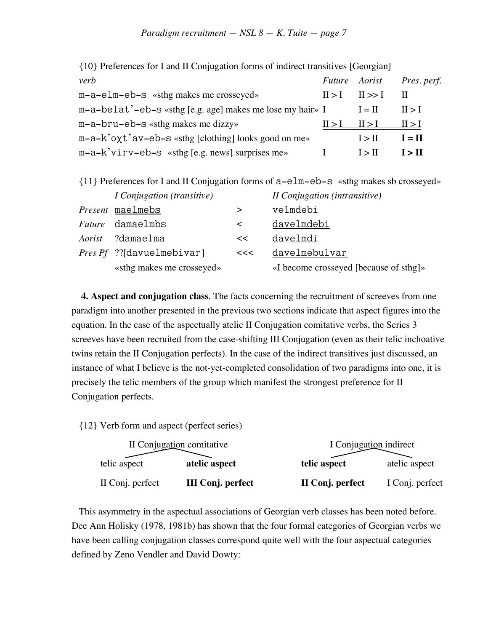| $\left(10\right)$ Treferences for 1 and H confugation forms of manoral cases $\left[360\right]$ |                            |                           |
|-------------------------------------------------------------------------------------------------|----------------------------|---------------------------|
| verb                                                                                            |                            | Future Aorist Pres. perf. |
| $m-a$ -elm-eb- $s$ «sthg makes me crosseyed»                                                    | $II > I$ $II >> I$ II      |                           |
| m-a-belat'-eb-s «sthg [e.g. age] makes me lose my hair» I                                       | $I = II$                   | 11 > 1                    |
| $m-a-bru-eb-s$ «sthg makes me dizzy»                                                            | $II > I$ $II > I$ $II > I$ |                           |
| $m-a-k'$ oxt'av-eb-s «sthg [clothing] looks good on me»                                         | I > II                     | $I = II$                  |
| $m-a-k'$ v i r v – e b – s «sthg [e.g. news] surprises me»                                      | I > II                     | I > II                    |

{10} Preferences for I and II Conjugation forms of indirect transitives [Georgian]

| {11} Preferences for I and II Conjugation forms of a-elm-eb-s «sthg makes sb crosseyed» |  |
|-----------------------------------------------------------------------------------------|--|
|-----------------------------------------------------------------------------------------|--|

| <i>I</i> Conjugation (transitive) |       | <i>II Conjugation (intransitive)</i>   |
|-----------------------------------|-------|----------------------------------------|
| <i>Present</i> maelmebs           | ➢     | velmdebi                               |
| <i>Future</i> damaelmbs           | $\lt$ | <u>davelmdebi</u>                      |
| Aorist ?damaelma                  | <<    | davelmdi                               |
| <i>Pres Pf ?</i> ?[davuelmebivar] | <<    | davelmebulvar                          |
| «sthg makes me crosseyed»         |       | «I become crosseyed [because of sthg]» |

**4. Aspect and conjugation class**. The facts concerning the recruitment of screeves from one paradigm into another presented in the previous two sections indicate that aspect figures into the equation. In the case of the aspectually atelic II Conjugation comitative verbs, the Series 3 screeves have been recruited from the case-shifting III Conjugation (even as their telic inchoative twins retain the II Conjugation perfects). In the case of the indirect transitives just discussed, an instance of what I believe is the not-yet-completed consolidation of two paradigms into one, it is precisely the telic members of the group which manifest the strongest preference for II Conjugation perfects.

{12} Verb form and aspect (perfect series)

| II Conjugation comitative |                          | I Conjugation indirect |                 |
|---------------------------|--------------------------|------------------------|-----------------|
| telic aspect              | atelic aspect            | telic aspect           | atelic aspect   |
| II Conj. perfect          | <b>III Conj. perfect</b> | II Conj. perfect       | I Conj. perfect |

This asymmetry in the aspectual associations of Georgian verb classes has been noted before. Dee Ann Holisky (1978, 1981b) has shown that the four formal categories of Georgian verbs we have been calling conjugation classes correspond quite well with the four aspectual categories defined by Zeno Vendler and David Dowty: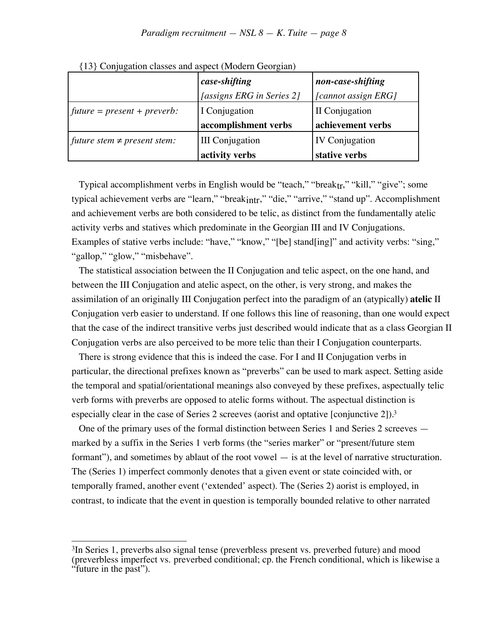|                                  | case-shifting             | non-case-shifting     |
|----------------------------------|---------------------------|-----------------------|
|                                  | [assigns ERG in Series 2] | [cannot assign ERG]   |
| $future = present + prevent:$    | I Conjugation             | II Conjugation        |
|                                  | accomplishment verbs      | achievement verbs     |
| future stem $\neq$ present stem: | <b>III</b> Conjugation    | <b>IV Conjugation</b> |
|                                  | activity verbs            | stative verbs         |

{13} Conjugation classes and aspect (Modern Georgian)

Typical accomplishment verbs in English would be "teach," "break<sub>tr</sub>," "kill," "give"; some typical achievement verbs are "learn," "breakintr," "die," "arrive," "stand up". Accomplishment and achievement verbs are both considered to be telic, as distinct from the fundamentally atelic activity verbs and statives which predominate in the Georgian III and IV Conjugations. Examples of stative verbs include: "have," "know," "[be] stand[ing]" and activity verbs: "sing," "gallop," "glow," "misbehave".

The statistical association between the II Conjugation and telic aspect, on the one hand, and between the III Conjugation and atelic aspect, on the other, is very strong, and makes the assimilation of an originally III Conjugation perfect into the paradigm of an (atypically) **atelic** II Conjugation verb easier to understand. If one follows this line of reasoning, than one would expect that the case of the indirect transitive verbs just described would indicate that as a class Georgian II Conjugation verbs are also perceived to be more telic than their I Conjugation counterparts.

There is strong evidence that this is indeed the case. For I and II Conjugation verbs in particular, the directional prefixes known as "preverbs" can be used to mark aspect. Setting aside the temporal and spatial/orientational meanings also conveyed by these prefixes, aspectually telic verb forms with preverbs are opposed to atelic forms without. The aspectual distinction is especially clear in the case of Series 2 screeves (aorist and optative [conjunctive 2]).<sup>3</sup>

One of the primary uses of the formal distinction between Series 1 and Series 2 screeves marked by a suffix in the Series 1 verb forms (the "series marker" or "present/future stem formant"), and sometimes by ablaut of the root vowel — is at the level of narrative structuration. The (Series 1) imperfect commonly denotes that a given event or state coincided with, or temporally framed, another event ('extended' aspect). The (Series 2) aorist is employed, in contrast, to indicate that the event in question is temporally bounded relative to other narrated

 $\overline{a}$ <sup>3</sup>In Series 1, preverbs also signal tense (preverbless present vs. preverbed future) and mood (preverbless imperfect vs. preverbed conditional; cp. the French conditional, which is likewise a "future in the past").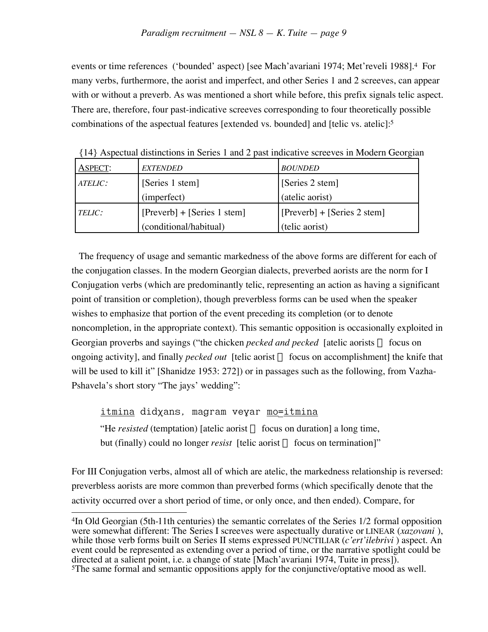events or time references ('bounded' aspect) [see Mach'avariani 1974; Met'reveli 1988].4 For many verbs, furthermore, the aorist and imperfect, and other Series 1 and 2 screeves, can appear with or without a preverb. As was mentioned a short while before, this prefix signals telic aspect. There are, therefore, four past-indicative screeves corresponding to four theoretically possible combinations of the aspectual features [extended vs. bounded] and [telic vs. atelic]:5

| <b>ASPECT:</b> | <i>EXTENDED</i>               | <b>BOUNDED</b>                |
|----------------|-------------------------------|-------------------------------|
| ATELIC:        | [Series 1 stem]               | [Series 2 stem]               |
|                | (imperfect)                   | (atelic aorist)               |
| TELIC:         | $[Preverb] + [Series 1 stem]$ | $[Preverb] + [Series 2 stem]$ |
|                | (conditional/habitual)        | (telic aorist)                |

{14} Aspectual distinctions in Series 1 and 2 past indicative screeves in Modern Georgian

The frequency of usage and semantic markedness of the above forms are different for each of the conjugation classes. In the modern Georgian dialects, preverbed aorists are the norm for I Conjugation verbs (which are predominantly telic, representing an action as having a significant point of transition or completion), though preverbless forms can be used when the speaker wishes to emphasize that portion of the event preceding its completion (or to denote noncompletion, in the appropriate context). This semantic opposition is occasionally exploited in Georgian proverbs and sayings ("the chicken *pecked and pecked* [atelic aorists  $\Rightarrow$  focus on ongoing activity], and finally *pecked out* [telic aorist  $\Rightarrow$  focus on accomplishment] the knife that will be used to kill it" [Shanidze 1953: 272]) or in passages such as the following, from Vazha-Pshavela's short story "The jays' wedding":

<u>itmina</u> didxans, magram veyar <u>mo=itmina</u> "He *resisted* (temptation) [atelic aorist  $\Rightarrow$  focus on duration] a long time, but (finally) could no longer *resist* [telic aorist  $\Rightarrow$  focus on termination]"

For III Conjugation verbs, almost all of which are atelic, the markedness relationship is reversed: preverbless aorists are more common than preverbed forms (which specifically denote that the activity occurred over a short period of time, or only once, and then ended). Compare, for

 $\overline{a}$ 4In Old Georgian (5th-11th centuries) the semantic correlates of the Series 1/2 formal opposition were somewhat different: The Series I screeves were aspectually durative or LINEAR (*xazovani* ), while those verb forms built on Series II stems expressed PUNCTILIAR (*c'ert'ilebrivi* ) aspect. An event could be represented as extending over a period of time, or the narrative spotlight could be directed at a salient point, i.e. a change of state [Mach'avariani 1974, Tuite in press]). 5The same formal and semantic oppositions apply for the conjunctive/optative mood as well.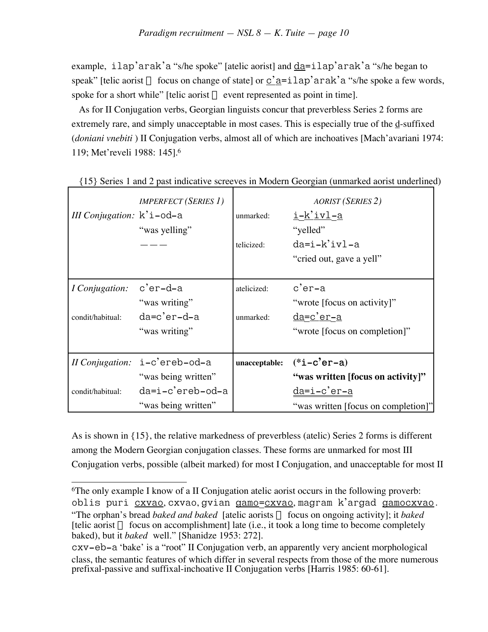example, ilap'arak'a "s/he spoke" [atelic aorist] and da=ilap'arak'a "s/he began to speak" [telic aorist  $\Rightarrow$  focus on change of state] or c'a=ilap'arak'a "s/he spoke a few words, spoke for a short while" [telic aorist  $\Rightarrow$  event represented as point in time].

As for II Conjugation verbs, Georgian linguists concur that preverbless Series 2 forms are extremely rare, and simply unacceptable in most cases. This is especially true of the d-suffixed (*doniani vnebiti* ) II Conjugation verbs, almost all of which are inchoatives [Mach'avariani 1974: 119; Met'reveli 1988: 145].6

| III Conjugation: $k^i$ i -od-a | <b>IMPERFECT</b> (SERIES 1)<br>"was yelling" | unmarked:<br>telicized: | <b>AORIST (SERIES 2)</b><br><u>i-k'ivl-a</u><br>"yelled"<br>$da=i-k'ivl-a$<br>"cried out, gave a yell" |
|--------------------------------|----------------------------------------------|-------------------------|--------------------------------------------------------------------------------------------------------|
| <i>I</i> Conjugation:          | c'er-d-a<br>"was writing"                    | atelicized:             | c'er-a<br>"wrote [focus on activity]"                                                                  |
| condit/habitual:               | da=c'er-d-a<br>"was writing"                 | unmarked:               | <u>da=c'er-a</u><br>"wrote [focus on completion]"                                                      |
|                                | Il Conjugation: i-c'ereb-od-a                | unacceptable:           | $(*i-c'er-a)$                                                                                          |
|                                | "was being written"                          |                         | "was written [focus on activity]"                                                                      |
| condit/habitual:               | da=i-c'ereb-od-a                             |                         | da=i-c'er-a                                                                                            |
|                                | "was being written"                          |                         | "was written [focus on completion]"                                                                    |

{15} Series 1 and 2 past indicative screeves in Modern Georgian (unmarked aorist underlined)

As is shown in {15}, the relative markedness of preverbless (atelic) Series 2 forms is different among the Modern Georgian conjugation classes. These forms are unmarked for most III Conjugation verbs, possible (albeit marked) for most I Conjugation, and unacceptable for most II

 $\overline{a}$ 6The only example I know of a II Conjugation atelic aorist occurs in the following proverb: oblis puri cxvao , cxvao, gvian gamo = cxvao , magram k'argad gamocxvao .

<sup>&</sup>quot;The orphan's bread *baked and baked* [atelic aorists  $\Rightarrow$  focus on ongoing activity]; it *baked* [telic aorist  $\Rightarrow$  focus on accomplishment] late (i.e., it took a long time to become completely baked), but it *baked* well." [Shanidze 1953: 272].

cxv-eb-a 'bake' is a "root" II Conjugation verb, an apparently very ancient morphological class, the semantic features of which differ in several respects from those of the more numerous prefixal-passive and suffixal-inchoative II Conjugation verbs [Harris 1985: 60-61].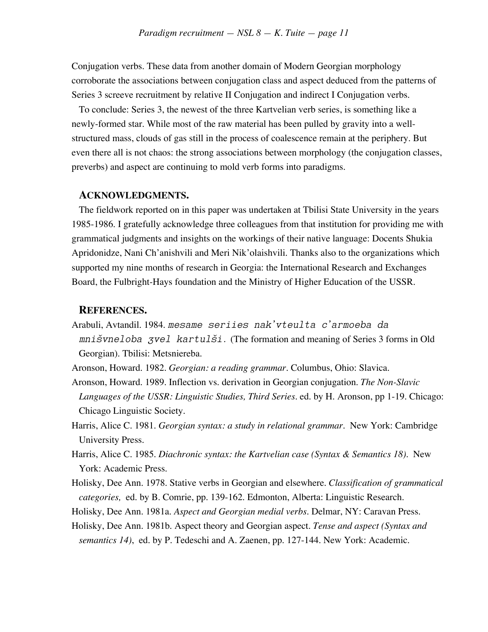Conjugation verbs. These data from another domain of Modern Georgian morphology corroborate the associations between conjugation class and aspect deduced from the patterns of Series 3 screeve recruitment by relative II Conjugation and indirect I Conjugation verbs.

To conclude: Series 3, the newest of the three Kartvelian verb series, is something like a newly-formed star. While most of the raw material has been pulled by gravity into a wellstructured mass, clouds of gas still in the process of coalescence remain at the periphery. But even there all is not chaos: the strong associations between morphology (the conjugation classes, preverbs) and aspect are continuing to mold verb forms into paradigms.

## **ACKNOWLEDGMENTS.**

The fieldwork reported on in this paper was undertaken at Tbilisi State University in the years 1985-1986. I gratefully acknowledge three colleagues from that institution for providing me with grammatical judgments and insights on the workings of their native language: Docents Shukia Apridonidze, Nani Ch'anishvili and Meri Nik'olaishvili. Thanks also to the organizations which supported my nine months of research in Georgia: the International Research and Exchanges Board, the Fulbright-Hays foundation and the Ministry of Higher Education of the USSR.

## **REFERENCES.**

Arabuli, Avtandil. 1984. mesame seriies nak*'*vteulta c*'*armoeba da  $mni\ddot{s}vneloba$  zvel kartul $\ddot{s}i$ . (The formation and meaning of Series 3 forms in Old Georgian). Tbilisi: Metsniereba.

- Aronson, Howard. 1982. *Georgian: a reading grammar.* Columbus, Ohio: Slavica.
- Aronson, Howard. 1989. Inflection vs. derivation in Georgian conjugation. *The Non-Slavic Languages of the USSR: Linguistic Studies, Third Series.* ed. by H. Aronson, pp 1-19. Chicago: Chicago Linguistic Society.
- Harris, Alice C. 1981. *Georgian syntax: a study in relational grammar*. New York: Cambridge University Press.
- Harris, Alice C. 1985. *Diachronic syntax: the Kartvelian case (Syntax & Semantics 18)*. New York: Academic Press.
- Holisky, Dee Ann. 1978. Stative verbs in Georgian and elsewhere. *Classification of grammatical categories,* ed. by B. Comrie, pp. 139-162. Edmonton, Alberta: Linguistic Research.
- Holisky, Dee Ann. 1981a. *Aspect and Georgian medial verbs*. Delmar, NY: Caravan Press.
- Holisky, Dee Ann. 1981b. Aspect theory and Georgian aspect. *Tense and aspect (Syntax and semantics 14)*, ed. by P. Tedeschi and A. Zaenen, pp. 127-144. New York: Academic.